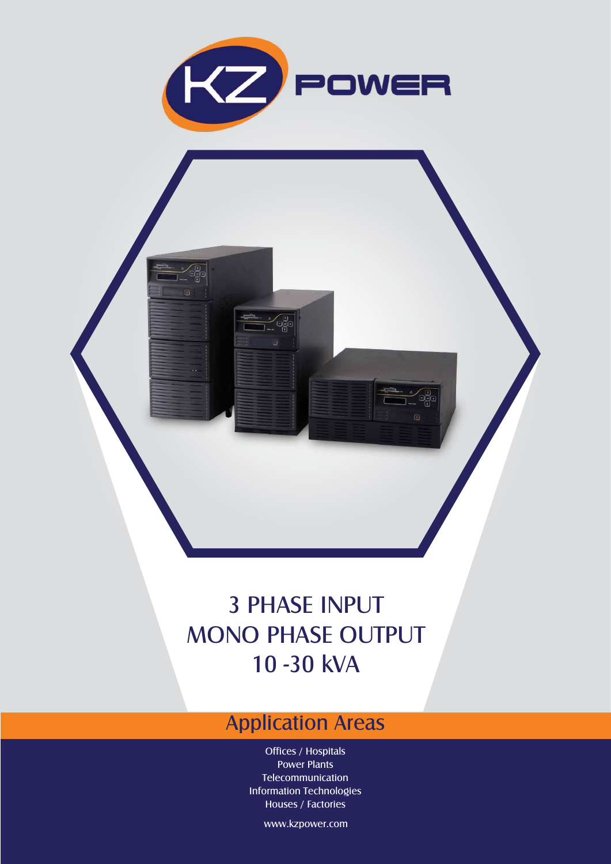

## 3 PHASE INPUT MONO PHASE OUTPUT 10 -30 kVA

## Application Areas

Offices / Hospitals Power Plants Telecommunication Information Technologies Houses / Factories

www.kzpower.com